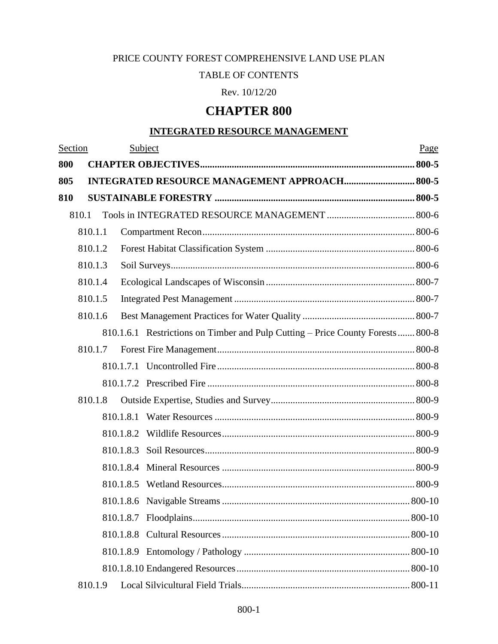# PRICE COUNTY FOREST COMPREHENSIVE LAND USE PLAN

### TABLE OF CONTENTS

Rev. 10/12/20

# **CHAPTER 800**

## **INTEGRATED RESOURCE MANAGEMENT**

| Section |         |           | Subject                                                                        | Page |
|---------|---------|-----------|--------------------------------------------------------------------------------|------|
| 800     |         |           |                                                                                |      |
| 805     |         |           | <b>INTEGRATED RESOURCE MANAGEMENT APPROACH 800-5</b>                           |      |
| 810     |         |           |                                                                                |      |
|         | 810.1   |           |                                                                                |      |
|         | 810.1.1 |           |                                                                                |      |
|         | 810.1.2 |           |                                                                                |      |
|         | 810.1.3 |           |                                                                                |      |
|         | 810.1.4 |           |                                                                                |      |
|         | 810.1.5 |           |                                                                                |      |
|         | 810.1.6 |           |                                                                                |      |
|         |         |           | 810.1.6.1 Restrictions on Timber and Pulp Cutting – Price County Forests 800-8 |      |
|         | 810.1.7 |           |                                                                                |      |
|         |         |           |                                                                                |      |
|         |         |           |                                                                                |      |
|         | 810.1.8 |           |                                                                                |      |
|         |         |           |                                                                                |      |
|         |         | 810.1.8.2 |                                                                                |      |
|         |         | 810.1.8.3 |                                                                                |      |
|         |         | 810.1.8.4 |                                                                                |      |
|         |         |           |                                                                                |      |
|         |         |           |                                                                                |      |
|         |         |           |                                                                                |      |
|         |         |           |                                                                                |      |
|         |         |           |                                                                                |      |
|         |         |           |                                                                                |      |
|         | 810.1.9 |           |                                                                                |      |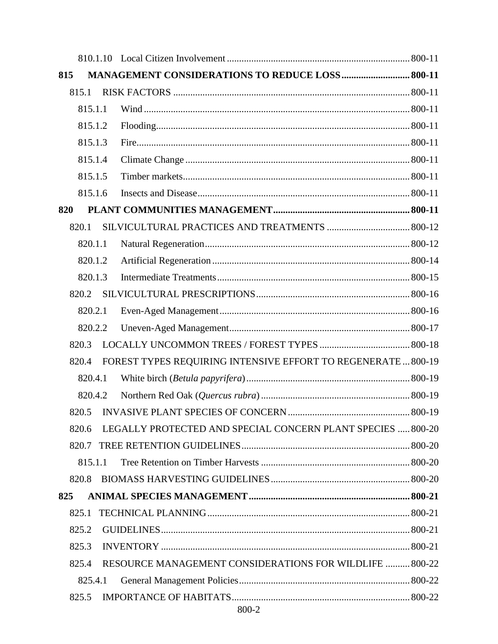| 815 |         |  | MANAGEMENT CONSIDERATIONS TO REDUCE LOSS 800-11               |  |
|-----|---------|--|---------------------------------------------------------------|--|
|     | 815.1   |  |                                                               |  |
|     | 815.1.1 |  |                                                               |  |
|     | 815.1.2 |  |                                                               |  |
|     | 815.1.3 |  |                                                               |  |
|     | 815.1.4 |  |                                                               |  |
|     | 815.1.5 |  |                                                               |  |
|     | 815.1.6 |  |                                                               |  |
| 820 |         |  |                                                               |  |
|     | 820.1   |  |                                                               |  |
|     | 820.1.1 |  |                                                               |  |
|     | 820.1.2 |  |                                                               |  |
|     | 820.1.3 |  |                                                               |  |
|     | 820.2   |  |                                                               |  |
|     | 820.2.1 |  |                                                               |  |
|     | 820.2.2 |  |                                                               |  |
|     | 820.3   |  |                                                               |  |
|     | 820.4   |  | FOREST TYPES REQUIRING INTENSIVE EFFORT TO REGENERATE  800-19 |  |
|     | 820.4.1 |  |                                                               |  |
|     | 820.4.2 |  |                                                               |  |
|     | 820.5   |  |                                                               |  |
|     | 820.6   |  | LEGALLY PROTECTED AND SPECIAL CONCERN PLANT SPECIES  800-20   |  |
|     | 820.7   |  |                                                               |  |
|     | 815.1.1 |  |                                                               |  |
|     | 820.8   |  |                                                               |  |
| 825 |         |  |                                                               |  |
|     | 825.1   |  |                                                               |  |
|     | 825.2   |  |                                                               |  |
|     | 825.3   |  |                                                               |  |
|     | 825.4   |  | RESOURCE MANAGEMENT CONSIDERATIONS FOR WILDLIFE  800-22       |  |
|     | 825.4.1 |  |                                                               |  |
|     | 825.5   |  |                                                               |  |
|     |         |  | 800-2                                                         |  |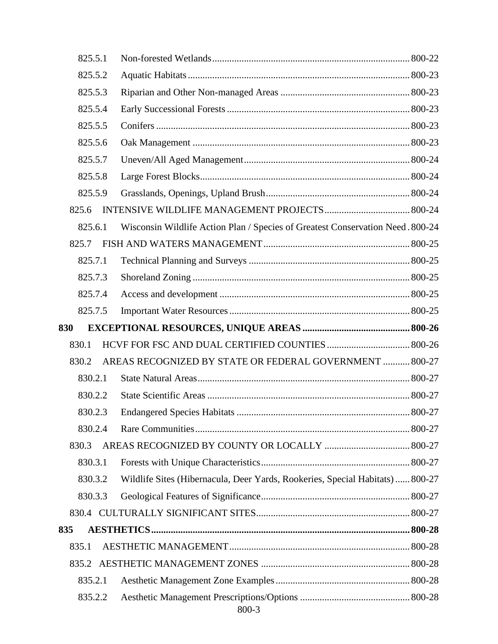| 825.5.1 |                                                                                |  |
|---------|--------------------------------------------------------------------------------|--|
| 825.5.2 |                                                                                |  |
| 825.5.3 |                                                                                |  |
| 825.5.4 |                                                                                |  |
| 825.5.5 |                                                                                |  |
| 825.5.6 |                                                                                |  |
| 825.5.7 |                                                                                |  |
| 825.5.8 |                                                                                |  |
| 825.5.9 |                                                                                |  |
| 825.6   |                                                                                |  |
| 825.6.1 | Wisconsin Wildlife Action Plan / Species of Greatest Conservation Need. 800-24 |  |
| 825.7   |                                                                                |  |
| 825.7.1 |                                                                                |  |
| 825.7.3 |                                                                                |  |
| 825.7.4 |                                                                                |  |
| 825.7.5 |                                                                                |  |
| 830     |                                                                                |  |
| 830.1   |                                                                                |  |
| 830.2   | AREAS RECOGNIZED BY STATE OR FEDERAL GOVERNMENT  800-27                        |  |
| 830.2.1 |                                                                                |  |
| 830.2.2 |                                                                                |  |
| 830.2.3 |                                                                                |  |
| 830.2.4 |                                                                                |  |
| 830.3   |                                                                                |  |
| 830.3.1 |                                                                                |  |
| 830.3.2 | Wildlife Sites (Hibernacula, Deer Yards, Rookeries, Special Habitats)  800-27  |  |
| 830.3.3 |                                                                                |  |
|         |                                                                                |  |
| 835     |                                                                                |  |
| 835.1   |                                                                                |  |
|         |                                                                                |  |
| 835.2.1 |                                                                                |  |
| 835.2.2 | 800-3                                                                          |  |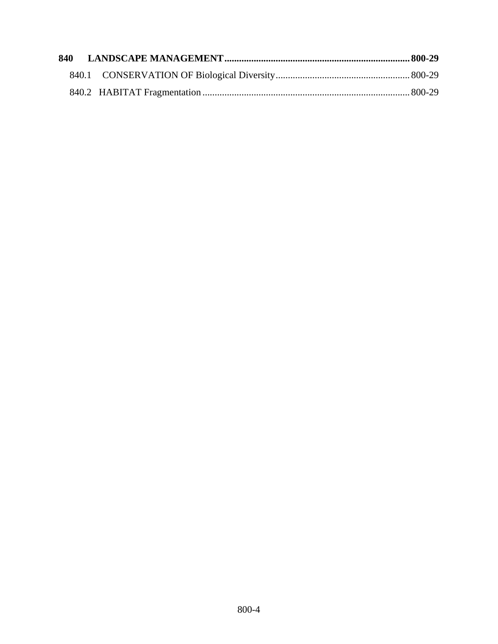| 840 |  |  |
|-----|--|--|
|     |  |  |
|     |  |  |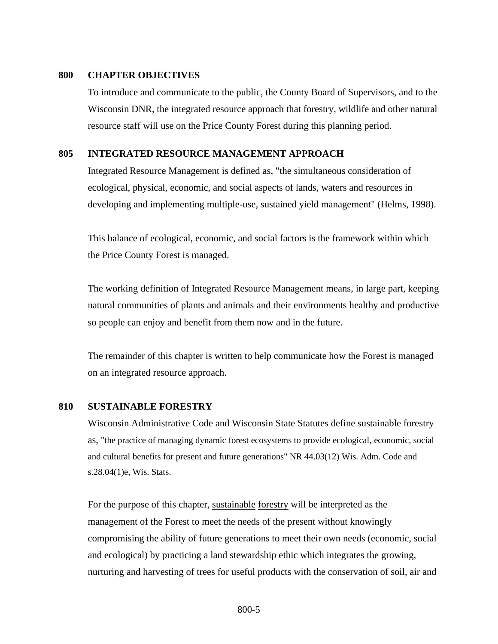#### <span id="page-4-0"></span>**800 CHAPTER OBJECTIVES**

To introduce and communicate to the public, the County Board of Supervisors, and to the Wisconsin DNR, the integrated resource approach that forestry, wildlife and other natural resource staff will use on the Price County Forest during this planning period.

### <span id="page-4-1"></span>**805 INTEGRATED RESOURCE MANAGEMENT APPROACH**

Integrated Resource Management is defined as, "the simultaneous consideration of ecological, physical, economic, and social aspects of lands, waters and resources in developing and implementing multiple-use, sustained yield management" (Helms, 1998).

This balance of ecological, economic, and social factors is the framework within which the Price County Forest is managed.

The working definition of Integrated Resource Management means, in large part, keeping natural communities of plants and animals and their environments healthy and productive so people can enjoy and benefit from them now and in the future.

The remainder of this chapter is written to help communicate how the Forest is managed on an integrated resource approach.

#### <span id="page-4-2"></span>**810 SUSTAINABLE FORESTRY**

Wisconsin Administrative Code and Wisconsin State Statutes define sustainable forestry as, "the practice of managing dynamic forest ecosystems to provide ecological, economic, social and cultural benefits for present and future generations" NR 44.03(12) Wis. Adm. Code and s.28.04(1)e, Wis. Stats.

For the purpose of this chapter, sustainable forestry will be interpreted as the management of the Forest to meet the needs of the present without knowingly compromising the ability of future generations to meet their own needs (economic, social and ecological) by practicing a land stewardship ethic which integrates the growing, nurturing and harvesting of trees for useful products with the conservation of soil, air and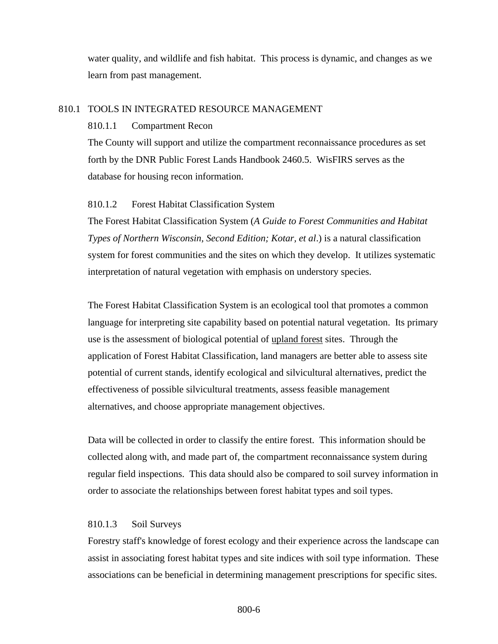water quality, and wildlife and fish habitat. This process is dynamic, and changes as we learn from past management.

### <span id="page-5-1"></span><span id="page-5-0"></span>810.1 TOOLS IN INTEGRATED RESOURCE MANAGEMENT

#### 810.1.1 Compartment Recon

The County will support and utilize the compartment reconnaissance procedures as set forth by the DNR Public Forest Lands Handbook 2460.5. WisFIRS serves as the database for housing recon information.

#### <span id="page-5-2"></span>810.1.2 Forest Habitat Classification System

The Forest Habitat Classification System (*A Guide to Forest Communities and Habitat Types of Northern Wisconsin, Second Edition; Kotar, et al*.) is a natural classification system for forest communities and the sites on which they develop. It utilizes systematic interpretation of natural vegetation with emphasis on understory species.

The Forest Habitat Classification System is an ecological tool that promotes a common language for interpreting site capability based on potential natural vegetation. Its primary use is the assessment of biological potential of upland forest sites. Through the application of Forest Habitat Classification, land managers are better able to assess site potential of current stands, identify ecological and silvicultural alternatives, predict the effectiveness of possible silvicultural treatments, assess feasible management alternatives, and choose appropriate management objectives.

Data will be collected in order to classify the entire forest. This information should be collected along with, and made part of, the compartment reconnaissance system during regular field inspections. This data should also be compared to soil survey information in order to associate the relationships between forest habitat types and soil types.

### <span id="page-5-3"></span>810.1.3 Soil Surveys

Forestry staff's knowledge of forest ecology and their experience across the landscape can assist in associating forest habitat types and site indices with soil type information. These associations can be beneficial in determining management prescriptions for specific sites.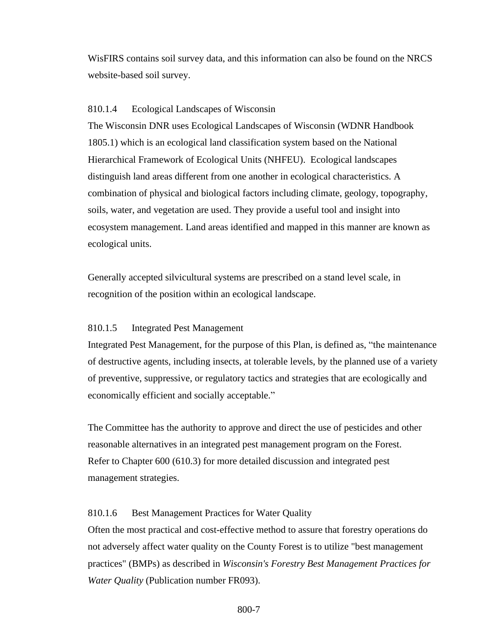WisFIRS contains soil survey data, and this information can also be found on the NRCS website-based soil survey.

### <span id="page-6-0"></span>810.1.4 Ecological Landscapes of Wisconsin

The Wisconsin DNR uses Ecological Landscapes of Wisconsin (WDNR Handbook 1805.1) which is an ecological land classification system based on the National Hierarchical Framework of Ecological Units (NHFEU). Ecological landscapes distinguish land areas different from one another in ecological characteristics. A combination of physical and biological factors including climate, geology, topography, soils, water, and vegetation are used. They provide a useful tool and insight into ecosystem management. Land areas identified and mapped in this manner are known as ecological units.

Generally accepted silvicultural systems are prescribed on a stand level scale, in recognition of the position within an ecological landscape.

#### <span id="page-6-1"></span>810.1.5 Integrated Pest Management

Integrated Pest Management, for the purpose of this Plan, is defined as, "the maintenance of destructive agents, including insects, at tolerable levels, by the planned use of a variety of preventive, suppressive, or regulatory tactics and strategies that are ecologically and economically efficient and socially acceptable."

The Committee has the authority to approve and direct the use of pesticides and other reasonable alternatives in an integrated pest management program on the Forest. Refer to Chapter 600 (610.3) for more detailed discussion and integrated pest management strategies.

#### <span id="page-6-2"></span>810.1.6 Best Management Practices for Water Quality

Often the most practical and cost-effective method to assure that forestry operations do not adversely affect water quality on the County Forest is to utilize "best management practices" (BMPs) as described in *Wisconsin's Forestry Best Management Practices for Water Quality* (Publication number FR093).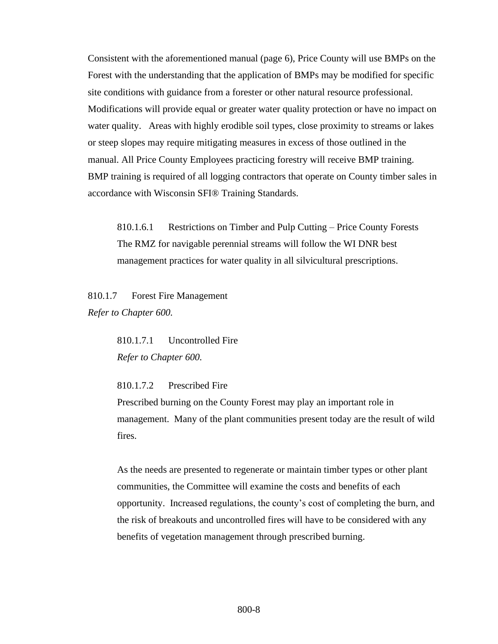Consistent with the aforementioned manual (page 6), Price County will use BMPs on the Forest with the understanding that the application of BMPs may be modified for specific site conditions with guidance from a forester or other natural resource professional. Modifications will provide equal or greater water quality protection or have no impact on water quality. Areas with highly erodible soil types, close proximity to streams or lakes or steep slopes may require mitigating measures in excess of those outlined in the manual. All Price County Employees practicing forestry will receive BMP training. BMP training is required of all logging contractors that operate on County timber sales in accordance with Wisconsin SFI® Training Standards.

<span id="page-7-0"></span>810.1.6.1 Restrictions on Timber and Pulp Cutting – Price County Forests The RMZ for navigable perennial streams will follow the WI DNR best management practices for water quality in all silvicultural prescriptions.

<span id="page-7-2"></span><span id="page-7-1"></span>810.1.7 Forest Fire Management *Refer to Chapter 600.*

> 810.1.7.1 Uncontrolled Fire *Refer to Chapter 600.*

<span id="page-7-3"></span>810.1.7.2 Prescribed Fire

Prescribed burning on the County Forest may play an important role in management. Many of the plant communities present today are the result of wild fires.

As the needs are presented to regenerate or maintain timber types or other plant communities, the Committee will examine the costs and benefits of each opportunity. Increased regulations, the county's cost of completing the burn, and the risk of breakouts and uncontrolled fires will have to be considered with any benefits of vegetation management through prescribed burning.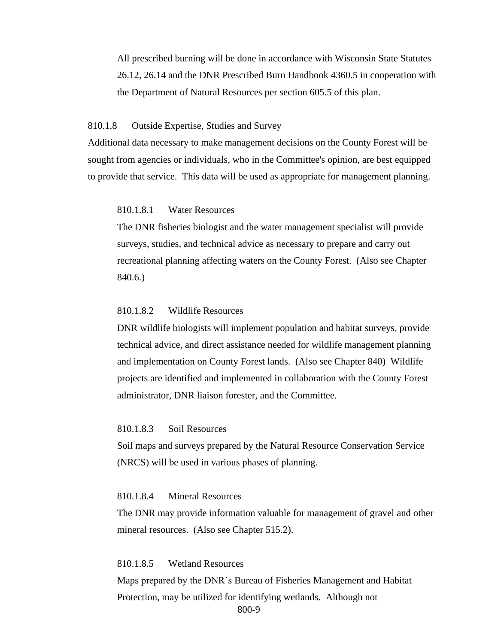All prescribed burning will be done in accordance with Wisconsin State Statutes 26.12, 26.14 and the DNR Prescribed Burn Handbook 4360.5 in cooperation with the Department of Natural Resources per section 605.5 of this plan.

#### <span id="page-8-0"></span>810.1.8 Outside Expertise, Studies and Survey

Additional data necessary to make management decisions on the County Forest will be sought from agencies or individuals, who in the Committee's opinion, are best equipped to provide that service. This data will be used as appropriate for management planning.

#### <span id="page-8-1"></span>810.1.8.1 Water Resources

The DNR fisheries biologist and the water management specialist will provide surveys, studies, and technical advice as necessary to prepare and carry out recreational planning affecting waters on the County Forest. (Also see Chapter 840.6.)

#### <span id="page-8-2"></span>810.1.8.2 Wildlife Resources

DNR wildlife biologists will implement population and habitat surveys, provide technical advice, and direct assistance needed for wildlife management planning and implementation on County Forest lands. (Also see Chapter 840) Wildlife projects are identified and implemented in collaboration with the County Forest administrator, DNR liaison forester, and the Committee.

#### <span id="page-8-3"></span>810.1.8.3 Soil Resources

Soil maps and surveys prepared by the Natural Resource Conservation Service (NRCS) will be used in various phases of planning.

#### <span id="page-8-4"></span>810.1.8.4 Mineral Resources

The DNR may provide information valuable for management of gravel and other mineral resources. (Also see Chapter 515.2).

#### <span id="page-8-5"></span>810.1.8.5 Wetland Resources

800-9 Maps prepared by the DNR's Bureau of Fisheries Management and Habitat Protection, may be utilized for identifying wetlands. Although not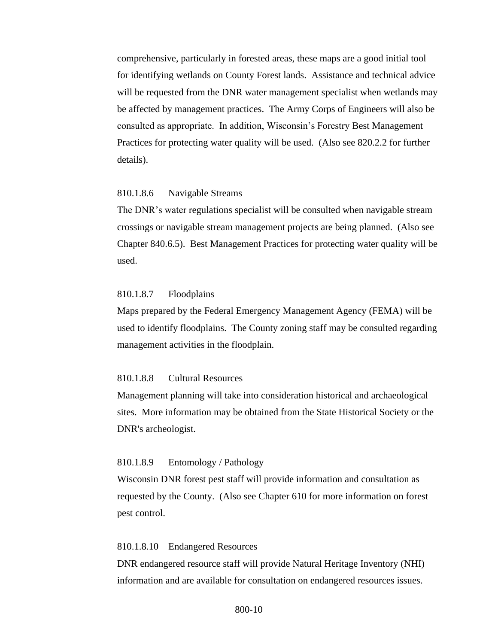comprehensive, particularly in forested areas, these maps are a good initial tool for identifying wetlands on County Forest lands. Assistance and technical advice will be requested from the DNR water management specialist when wetlands may be affected by management practices. The Army Corps of Engineers will also be consulted as appropriate. In addition, Wisconsin's Forestry Best Management Practices for protecting water quality will be used. (Also see 820.2.2 for further details).

### <span id="page-9-0"></span>810.1.8.6 Navigable Streams

The DNR's water regulations specialist will be consulted when navigable stream crossings or navigable stream management projects are being planned. (Also see Chapter 840.6.5). Best Management Practices for protecting water quality will be used.

### <span id="page-9-1"></span>810.1.8.7 Floodplains

Maps prepared by the Federal Emergency Management Agency (FEMA) will be used to identify floodplains. The County zoning staff may be consulted regarding management activities in the floodplain.

#### <span id="page-9-2"></span>810.1.8.8 Cultural Resources

Management planning will take into consideration historical and archaeological sites. More information may be obtained from the State Historical Society or the DNR's archeologist.

#### <span id="page-9-3"></span>810.1.8.9 Entomology / Pathology

Wisconsin DNR forest pest staff will provide information and consultation as requested by the County. (Also see Chapter 610 for more information on forest pest control.

#### <span id="page-9-4"></span>810.1.8.10 Endangered Resources

DNR endangered resource staff will provide Natural Heritage Inventory (NHI) information and are available for consultation on endangered resources issues.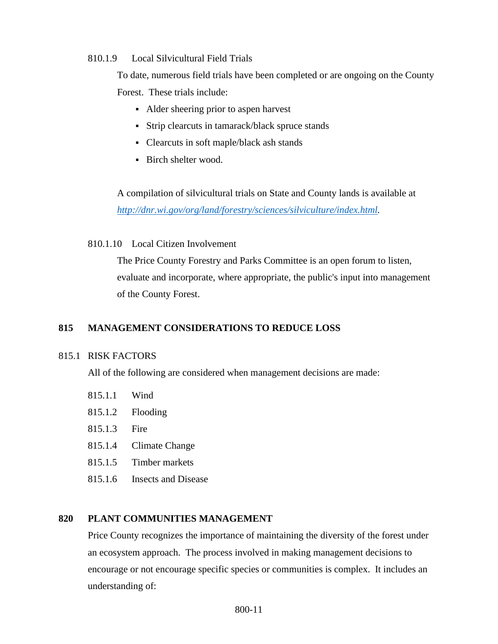### <span id="page-10-0"></span>810.1.9 Local Silvicultural Field Trials

To date, numerous field trials have been completed or are ongoing on the County Forest. These trials include:

- Alder sheering prior to aspen harvest
- Strip clearcuts in tamarack/black spruce stands
- Clearcuts in soft maple/black ash stands
- Birch shelter wood.

A compilation of silvicultural trials on State and County lands is available at *[http://dnr.wi.gov/org/land/forestry/sciences/silviculture/index.html.](http://dnr.wi.gov/org/land/forestry/sciences/silviculture/index.html)*

<span id="page-10-1"></span>810.1.10 Local Citizen Involvement

The Price County Forestry and Parks Committee is an open forum to listen, evaluate and incorporate, where appropriate, the public's input into management of the County Forest.

## <span id="page-10-2"></span>**815 MANAGEMENT CONSIDERATIONS TO REDUCE LOSS**

### <span id="page-10-3"></span>815.1 RISK FACTORS

All of the following are considered when management decisions are made:

- <span id="page-10-4"></span>815.1.1 Wind
- <span id="page-10-5"></span>815.1.2 Flooding
- <span id="page-10-6"></span>815.1.3 Fire
- <span id="page-10-7"></span>815.1.4 Climate Change
- <span id="page-10-8"></span>815.1.5 Timber markets
- <span id="page-10-9"></span>815.1.6 Insects and Disease

### <span id="page-10-10"></span>**820 PLANT COMMUNITIES MANAGEMENT**

Price County recognizes the importance of maintaining the diversity of the forest under an ecosystem approach. The process involved in making management decisions to encourage or not encourage specific species or communities is complex. It includes an understanding of: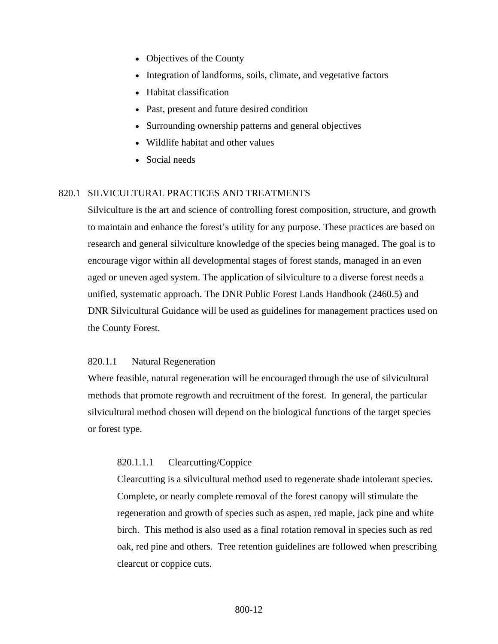- Objectives of the County
- Integration of landforms, soils, climate, and vegetative factors
- Habitat classification
- Past, present and future desired condition
- Surrounding ownership patterns and general objectives
- Wildlife habitat and other values
- Social needs

### <span id="page-11-0"></span>820.1 SILVICULTURAL PRACTICES AND TREATMENTS

Silviculture is the art and science of controlling forest composition, structure, and growth to maintain and enhance the forest's utility for any purpose. These practices are based on research and general silviculture knowledge of the species being managed. The goal is to encourage vigor within all developmental stages of forest stands, managed in an even aged or uneven aged system. The application of silviculture to a diverse forest needs a unified, systematic approach. The DNR Public Forest Lands Handbook (2460.5) and DNR Silvicultural Guidance will be used as guidelines for management practices used on the County Forest.

### <span id="page-11-1"></span>820.1.1 Natural Regeneration

Where feasible, natural regeneration will be encouraged through the use of silvicultural methods that promote regrowth and recruitment of the forest. In general, the particular silvicultural method chosen will depend on the biological functions of the target species or forest type.

### 820.1.1.1 Clearcutting/Coppice

Clearcutting is a silvicultural method used to regenerate shade intolerant species. Complete, or nearly complete removal of the forest canopy will stimulate the regeneration and growth of species such as aspen, red maple, jack pine and white birch. This method is also used as a final rotation removal in species such as red oak, red pine and others. Tree retention guidelines are followed when prescribing clearcut or coppice cuts.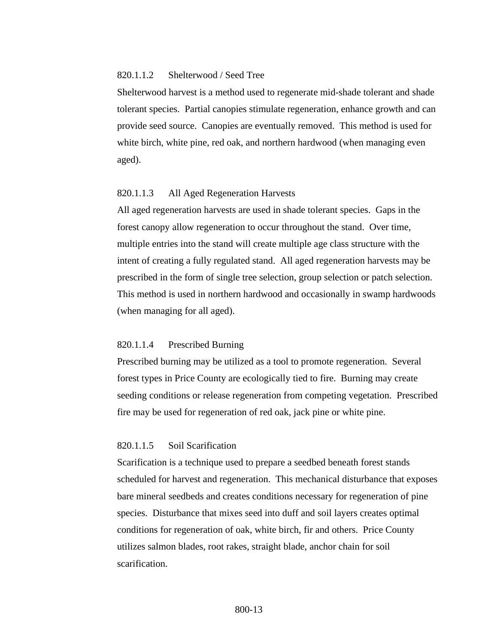### 820.1.1.2 Shelterwood / Seed Tree

Shelterwood harvest is a method used to regenerate mid-shade tolerant and shade tolerant species. Partial canopies stimulate regeneration, enhance growth and can provide seed source. Canopies are eventually removed. This method is used for white birch, white pine, red oak, and northern hardwood (when managing even aged).

#### 820.1.1.3 All Aged Regeneration Harvests

All aged regeneration harvests are used in shade tolerant species. Gaps in the forest canopy allow regeneration to occur throughout the stand. Over time, multiple entries into the stand will create multiple age class structure with the intent of creating a fully regulated stand. All aged regeneration harvests may be prescribed in the form of single tree selection, group selection or patch selection. This method is used in northern hardwood and occasionally in swamp hardwoods (when managing for all aged).

#### 820.1.1.4 Prescribed Burning

Prescribed burning may be utilized as a tool to promote regeneration. Several forest types in Price County are ecologically tied to fire. Burning may create seeding conditions or release regeneration from competing vegetation. Prescribed fire may be used for regeneration of red oak, jack pine or white pine.

#### 820.1.1.5 Soil Scarification

Scarification is a technique used to prepare a seedbed beneath forest stands scheduled for harvest and regeneration. This mechanical disturbance that exposes bare mineral seedbeds and creates conditions necessary for regeneration of pine species. Disturbance that mixes seed into duff and soil layers creates optimal conditions for regeneration of oak, white birch, fir and others. Price County utilizes salmon blades, root rakes, straight blade, anchor chain for soil scarification.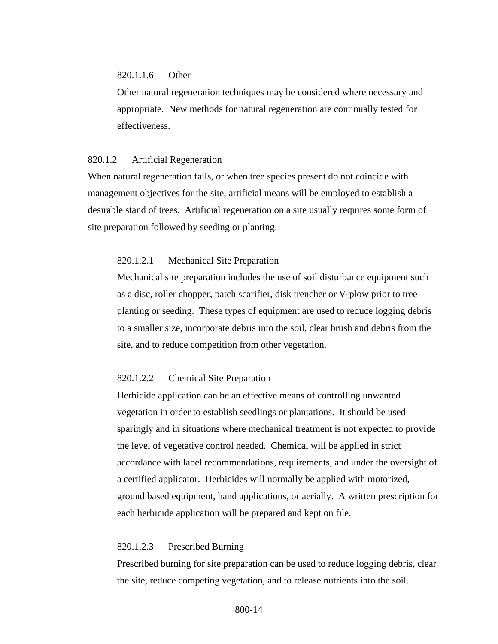### 820.1.1.6 Other

Other natural regeneration techniques may be considered where necessary and appropriate. New methods for natural regeneration are continually tested for effectiveness.

#### <span id="page-13-0"></span>820.1.2 Artificial Regeneration

When natural regeneration fails, or when tree species present do not coincide with management objectives for the site, artificial means will be employed to establish a desirable stand of trees. Artificial regeneration on a site usually requires some form of site preparation followed by seeding or planting.

### 820.1.2.1 Mechanical Site Preparation

Mechanical site preparation includes the use of soil disturbance equipment such as a disc, roller chopper, patch scarifier, disk trencher or V-plow prior to tree planting or seeding. These types of equipment are used to reduce logging debris to a smaller size, incorporate debris into the soil, clear brush and debris from the site, and to reduce competition from other vegetation.

### 820.1.2.2 Chemical Site Preparation

Herbicide application can be an effective means of controlling unwanted vegetation in order to establish seedlings or plantations. It should be used sparingly and in situations where mechanical treatment is not expected to provide the level of vegetative control needed. Chemical will be applied in strict accordance with label recommendations, requirements, and under the oversight of a certified applicator. Herbicides will normally be applied with motorized, ground based equipment, hand applications, or aerially. A written prescription for each herbicide application will be prepared and kept on file.

### 820.1.2.3 Prescribed Burning

Prescribed burning for site preparation can be used to reduce logging debris, clear the site, reduce competing vegetation, and to release nutrients into the soil.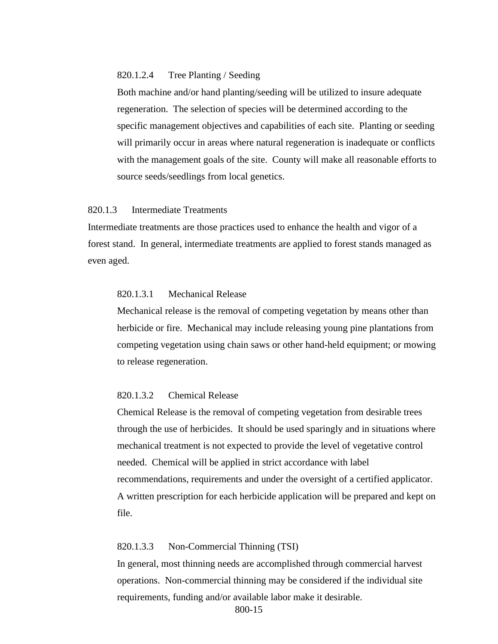### 820.1.2.4 Tree Planting / Seeding

Both machine and/or hand planting/seeding will be utilized to insure adequate regeneration. The selection of species will be determined according to the specific management objectives and capabilities of each site. Planting or seeding will primarily occur in areas where natural regeneration is inadequate or conflicts with the management goals of the site. County will make all reasonable efforts to source seeds/seedlings from local genetics.

## <span id="page-14-0"></span>820.1.3 Intermediate Treatments

Intermediate treatments are those practices used to enhance the health and vigor of a forest stand. In general, intermediate treatments are applied to forest stands managed as even aged.

### 820.1.3.1 Mechanical Release

Mechanical release is the removal of competing vegetation by means other than herbicide or fire. Mechanical may include releasing young pine plantations from competing vegetation using chain saws or other hand-held equipment; or mowing to release regeneration.

#### 820.1.3.2 Chemical Release

Chemical Release is the removal of competing vegetation from desirable trees through the use of herbicides. It should be used sparingly and in situations where mechanical treatment is not expected to provide the level of vegetative control needed. Chemical will be applied in strict accordance with label recommendations, requirements and under the oversight of a certified applicator. A written prescription for each herbicide application will be prepared and kept on file.

### 820.1.3.3 Non-Commercial Thinning (TSI)

In general, most thinning needs are accomplished through commercial harvest operations. Non-commercial thinning may be considered if the individual site requirements, funding and/or available labor make it desirable.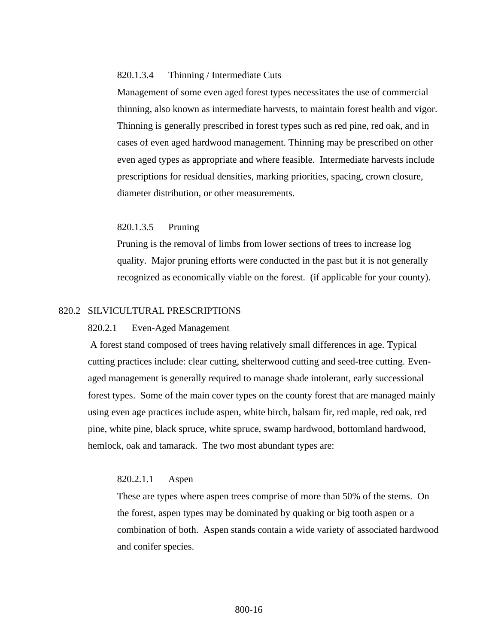### 820.1.3.4 Thinning / Intermediate Cuts

Management of some even aged forest types necessitates the use of commercial thinning, also known as intermediate harvests, to maintain forest health and vigor. Thinning is generally prescribed in forest types such as red pine, red oak, and in cases of even aged hardwood management. Thinning may be prescribed on other even aged types as appropriate and where feasible. Intermediate harvests include prescriptions for residual densities, marking priorities, spacing, crown closure, diameter distribution, or other measurements.

#### 820.1.3.5 Pruning

Pruning is the removal of limbs from lower sections of trees to increase log quality. Major pruning efforts were conducted in the past but it is not generally recognized as economically viable on the forest. (if applicable for your county).

#### <span id="page-15-1"></span><span id="page-15-0"></span>820.2 SILVICULTURAL PRESCRIPTIONS

#### 820.2.1 Even-Aged Management

A forest stand composed of trees having relatively small differences in age. Typical cutting practices include: clear cutting, shelterwood cutting and seed-tree cutting. Evenaged management is generally required to manage shade intolerant, early successional forest types. Some of the main cover types on the county forest that are managed mainly using even age practices include aspen, white birch, balsam fir, red maple, red oak, red pine, white pine, black spruce, white spruce, swamp hardwood, bottomland hardwood, hemlock, oak and tamarack. The two most abundant types are:

#### 820.2.1.1 Aspen

These are types where aspen trees comprise of more than 50% of the stems. On the forest, aspen types may be dominated by quaking or big tooth aspen or a combination of both. Aspen stands contain a wide variety of associated hardwood and conifer species.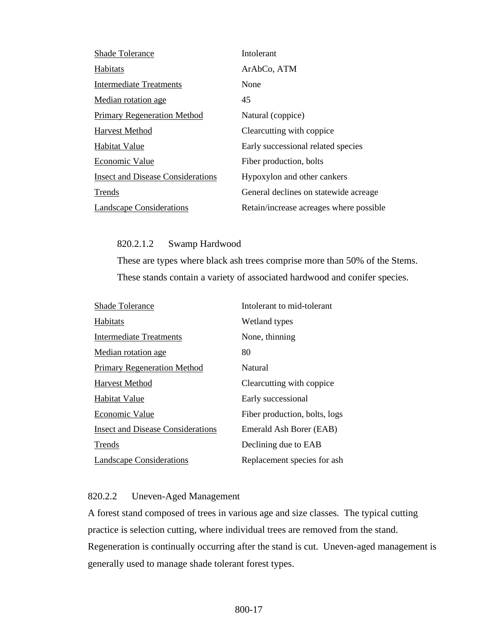| <b>Shade Tolerance</b>                   | Intolerant                              |
|------------------------------------------|-----------------------------------------|
| Habitats                                 | ArAbCo, ATM                             |
| <b>Intermediate Treatments</b>           | None                                    |
| Median rotation age.                     | 45                                      |
| <b>Primary Regeneration Method</b>       | Natural (coppice)                       |
| Harvest Method                           | Clearcutting with coppice               |
| Habitat Value                            | Early successional related species      |
| Economic Value                           | Fiber production, bolts                 |
| <b>Insect and Disease Considerations</b> | Hypoxylon and other cankers             |
| Trends                                   | General declines on statewide acreage   |
| <b>Landscape Considerations</b>          | Retain/increase acreages where possible |

820.2.1.2 Swamp Hardwood

These are types where black ash trees comprise more than 50% of the Stems. These stands contain a variety of associated hardwood and conifer species.

| <b>Shade Tolerance</b>                   | Intolerant to mid-tolerant    |
|------------------------------------------|-------------------------------|
| Habitats                                 | Wetland types                 |
| Intermediate Treatments                  | None, thinning                |
| Median rotation age                      | 80                            |
| <b>Primary Regeneration Method</b>       | Natural                       |
| Harvest Method                           | Clearcutting with coppice     |
| Habitat Value                            | Early successional            |
| Economic Value                           | Fiber production, bolts, logs |
| <b>Insect and Disease Considerations</b> | Emerald Ash Borer (EAB)       |
| Trends                                   | Declining due to EAB          |
| <b>Landscape Considerations</b>          | Replacement species for ash   |

## <span id="page-16-0"></span>820.2.2 Uneven-Aged Management

A forest stand composed of trees in various age and size classes. The typical cutting practice is selection cutting, where individual trees are removed from the stand. Regeneration is continually occurring after the stand is cut. Uneven-aged management is generally used to manage shade tolerant forest types.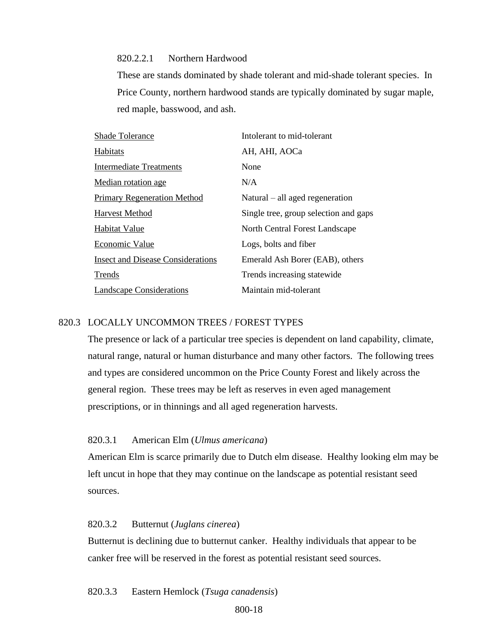820.2.2.1 Northern Hardwood

These are stands dominated by shade tolerant and mid-shade tolerant species. In Price County, northern hardwood stands are typically dominated by sugar maple, red maple, basswood, and ash.

| Shade Tolerance                          | Intolerant to mid-tolerant            |
|------------------------------------------|---------------------------------------|
| Habitats                                 | AH, AHI, AOCa                         |
| <b>Intermediate Treatments</b>           | None                                  |
| Median rotation age                      | N/A                                   |
| <b>Primary Regeneration Method</b>       | $Natural - all aged regeneration$     |
| Harvest Method                           | Single tree, group selection and gaps |
| Habitat Value                            | North Central Forest Landscape        |
| Economic Value                           | Logs, bolts and fiber                 |
| <b>Insect and Disease Considerations</b> | Emerald Ash Borer (EAB), others       |
| Trends                                   | Trends increasing statewide           |
| <b>Landscape Considerations</b>          | Maintain mid-tolerant                 |

### <span id="page-17-0"></span>820.3 LOCALLY UNCOMMON TREES / FOREST TYPES

The presence or lack of a particular tree species is dependent on land capability, climate, natural range, natural or human disturbance and many other factors. The following trees and types are considered uncommon on the Price County Forest and likely across the general region. These trees may be left as reserves in even aged management prescriptions, or in thinnings and all aged regeneration harvests.

### 820.3.1 American Elm (*Ulmus americana*)

American Elm is scarce primarily due to Dutch elm disease. Healthy looking elm may be left uncut in hope that they may continue on the landscape as potential resistant seed sources.

### 820.3.2 Butternut (*Juglans cinerea*)

Butternut is declining due to butternut canker. Healthy individuals that appear to be canker free will be reserved in the forest as potential resistant seed sources.

820.3.3 Eastern Hemlock (*Tsuga canadensis*)

800-18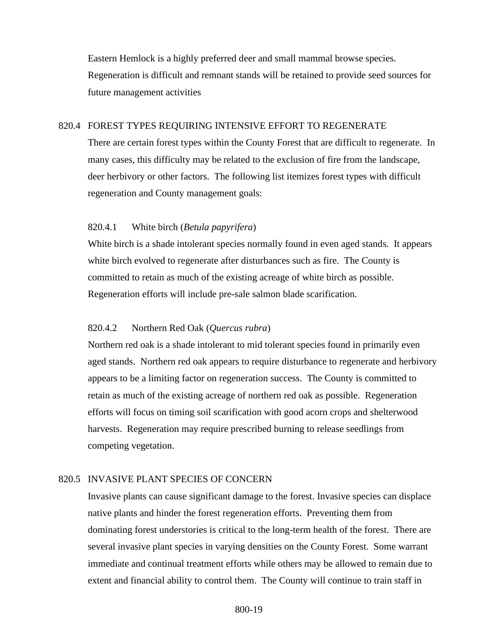Eastern Hemlock is a highly preferred deer and small mammal browse species. Regeneration is difficult and remnant stands will be retained to provide seed sources for future management activities

#### <span id="page-18-0"></span>820.4 FOREST TYPES REQUIRING INTENSIVE EFFORT TO REGENERATE

There are certain forest types within the County Forest that are difficult to regenerate. In many cases, this difficulty may be related to the exclusion of fire from the landscape, deer herbivory or other factors. The following list itemizes forest types with difficult regeneration and County management goals:

#### <span id="page-18-1"></span>820.4.1 White birch (*Betula papyrifera*)

White birch is a shade intolerant species normally found in even aged stands. It appears white birch evolved to regenerate after disturbances such as fire. The County is committed to retain as much of the existing acreage of white birch as possible. Regeneration efforts will include pre-sale salmon blade scarification.

#### <span id="page-18-2"></span>820.4.2 Northern Red Oak (*Quercus rubra*)

Northern red oak is a shade intolerant to mid tolerant species found in primarily even aged stands. Northern red oak appears to require disturbance to regenerate and herbivory appears to be a limiting factor on regeneration success. The County is committed to retain as much of the existing acreage of northern red oak as possible. Regeneration efforts will focus on timing soil scarification with good acorn crops and shelterwood harvests. Regeneration may require prescribed burning to release seedlings from competing vegetation.

### <span id="page-18-3"></span>820.5 INVASIVE PLANT SPECIES OF CONCERN

Invasive plants can cause significant damage to the forest. Invasive species can displace native plants and hinder the forest regeneration efforts. Preventing them from dominating forest understories is critical to the long-term health of the forest. There are several invasive plant species in varying densities on the County Forest. Some warrant immediate and continual treatment efforts while others may be allowed to remain due to extent and financial ability to control them. The County will continue to train staff in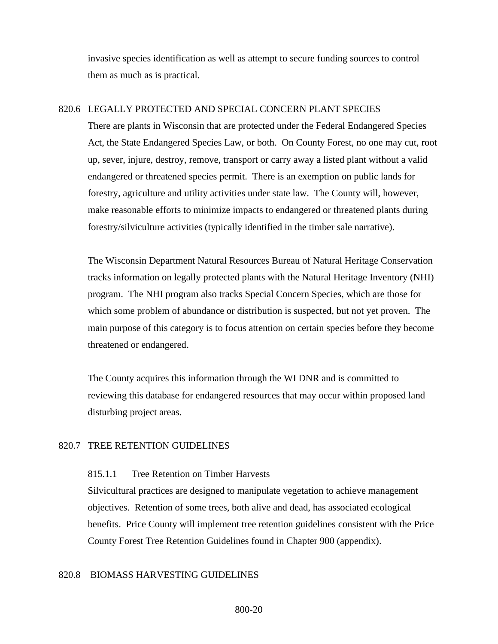invasive species identification as well as attempt to secure funding sources to control them as much as is practical.

### <span id="page-19-0"></span>820.6 LEGALLY PROTECTED AND SPECIAL CONCERN PLANT SPECIES

There are plants in Wisconsin that are protected under the Federal Endangered Species Act, the State Endangered Species Law, or both. On County Forest, no one may cut, root up, sever, injure, destroy, remove, transport or carry away a listed plant without a valid endangered or threatened species permit. There is an exemption on public lands for forestry, agriculture and utility activities under state law. The County will, however, make reasonable efforts to minimize impacts to endangered or threatened plants during forestry/silviculture activities (typically identified in the timber sale narrative).

The Wisconsin Department Natural Resources Bureau of Natural Heritage Conservation tracks information on legally protected plants with the Natural Heritage Inventory (NHI) program. The NHI program also tracks Special Concern Species, which are those for which some problem of abundance or distribution is suspected, but not yet proven. The main purpose of this category is to focus attention on certain species before they become threatened or endangered.

The County acquires this information through the WI DNR and is committed to reviewing this database for endangered resources that may occur within proposed land disturbing project areas.

#### <span id="page-19-2"></span><span id="page-19-1"></span>820.7 TREE RETENTION GUIDELINES

### 815.1.1 Tree Retention on Timber Harvests

Silvicultural practices are designed to manipulate vegetation to achieve management objectives. Retention of some trees, both alive and dead, has associated ecological benefits. Price County will implement tree retention guidelines consistent with the Price County Forest Tree Retention Guidelines found in Chapter 900 (appendix).

#### <span id="page-19-3"></span>820.8 BIOMASS HARVESTING GUIDELINES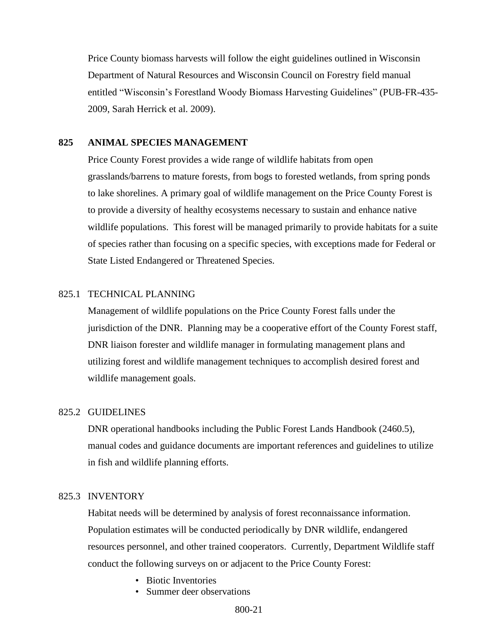Price County biomass harvests will follow the eight guidelines outlined in Wisconsin Department of Natural Resources and Wisconsin Council on Forestry field manual entitled "Wisconsin's Forestland Woody Biomass Harvesting Guidelines" (PUB-FR-435- 2009, Sarah Herrick et al. 2009).

#### <span id="page-20-0"></span>**825 ANIMAL SPECIES MANAGEMENT**

Price County Forest provides a wide range of wildlife habitats from open grasslands/barrens to mature forests, from bogs to forested wetlands, from spring ponds to lake shorelines. A primary goal of wildlife management on the Price County Forest is to provide a diversity of healthy ecosystems necessary to sustain and enhance native wildlife populations. This forest will be managed primarily to provide habitats for a suite of species rather than focusing on a specific species, with exceptions made for Federal or State Listed Endangered or Threatened Species.

#### <span id="page-20-1"></span>825.1 TECHNICAL PLANNING

Management of wildlife populations on the Price County Forest falls under the jurisdiction of the DNR. Planning may be a cooperative effort of the County Forest staff, DNR liaison forester and wildlife manager in formulating management plans and utilizing forest and wildlife management techniques to accomplish desired forest and wildlife management goals.

### <span id="page-20-2"></span>825.2 GUIDELINES

DNR operational handbooks including the Public Forest Lands Handbook (2460.5), manual codes and guidance documents are important references and guidelines to utilize in fish and wildlife planning efforts.

#### <span id="page-20-3"></span>825.3 INVENTORY

Habitat needs will be determined by analysis of forest reconnaissance information. Population estimates will be conducted periodically by DNR wildlife, endangered resources personnel, and other trained cooperators. Currently, Department Wildlife staff conduct the following surveys on or adjacent to the Price County Forest:

- Biotic Inventories
- Summer deer observations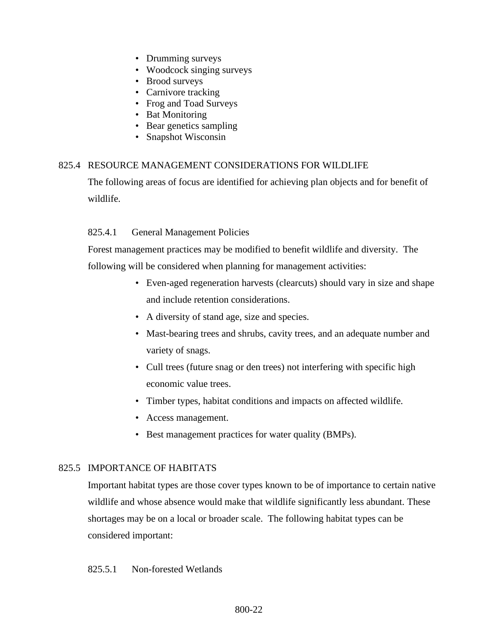- Drumming surveys
- Woodcock singing surveys
- Brood surveys
- Carnivore tracking
- Frog and Toad Surveys
- Bat Monitoring
- Bear genetics sampling
- Snapshot Wisconsin

## <span id="page-21-0"></span>825.4 RESOURCE MANAGEMENT CONSIDERATIONS FOR WILDLIFE

The following areas of focus are identified for achieving plan objects and for benefit of wildlife.

## <span id="page-21-1"></span>825.4.1 General Management Policies

Forest management practices may be modified to benefit wildlife and diversity. The following will be considered when planning for management activities:

- Even-aged regeneration harvests (clearcuts) should vary in size and shape and include retention considerations.
- A diversity of stand age, size and species.
- Mast-bearing trees and shrubs, cavity trees, and an adequate number and variety of snags.
- Cull trees (future snag or den trees) not interfering with specific high economic value trees.
- Timber types, habitat conditions and impacts on affected wildlife.
- Access management.
- Best management practices for water quality (BMPs).

## <span id="page-21-2"></span>825.5 IMPORTANCE OF HABITATS

Important habitat types are those cover types known to be of importance to certain native wildlife and whose absence would make that wildlife significantly less abundant. These shortages may be on a local or broader scale. The following habitat types can be considered important:

### <span id="page-21-3"></span>825.5.1 Non-forested Wetlands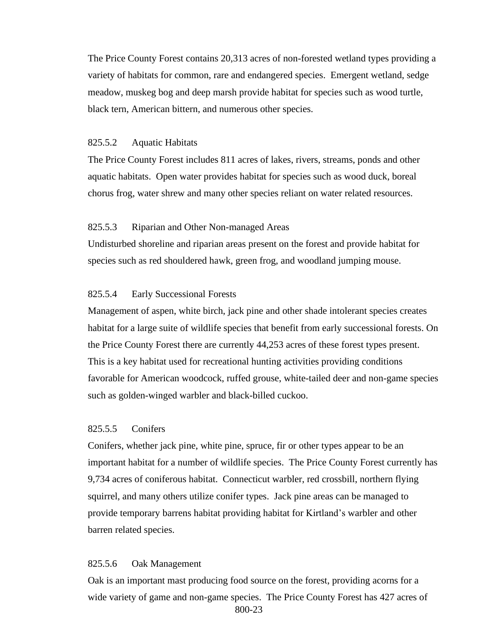The Price County Forest contains 20,313 acres of non-forested wetland types providing a variety of habitats for common, rare and endangered species. Emergent wetland, sedge meadow, muskeg bog and deep marsh provide habitat for species such as wood turtle, black tern, American bittern, and numerous other species.

#### <span id="page-22-0"></span>825.5.2 Aquatic Habitats

The Price County Forest includes 811 acres of lakes, rivers, streams, ponds and other aquatic habitats. Open water provides habitat for species such as wood duck, boreal chorus frog, water shrew and many other species reliant on water related resources.

#### <span id="page-22-1"></span>825.5.3 Riparian and Other Non-managed Areas

Undisturbed shoreline and riparian areas present on the forest and provide habitat for species such as red shouldered hawk, green frog, and woodland jumping mouse.

#### <span id="page-22-2"></span>825.5.4 Early Successional Forests

Management of aspen, white birch, jack pine and other shade intolerant species creates habitat for a large suite of wildlife species that benefit from early successional forests. On the Price County Forest there are currently 44,253 acres of these forest types present. This is a key habitat used for recreational hunting activities providing conditions favorable for American woodcock, ruffed grouse, white-tailed deer and non-game species such as golden-winged warbler and black-billed cuckoo.

### <span id="page-22-3"></span>825.5.5 Conifers

Conifers, whether jack pine, white pine, spruce, fir or other types appear to be an important habitat for a number of wildlife species. The Price County Forest currently has 9,734 acres of coniferous habitat. Connecticut warbler, red crossbill, northern flying squirrel, and many others utilize conifer types. Jack pine areas can be managed to provide temporary barrens habitat providing habitat for Kirtland's warbler and other barren related species.

#### <span id="page-22-4"></span>825.5.6 Oak Management

800-23 Oak is an important mast producing food source on the forest, providing acorns for a wide variety of game and non-game species. The Price County Forest has 427 acres of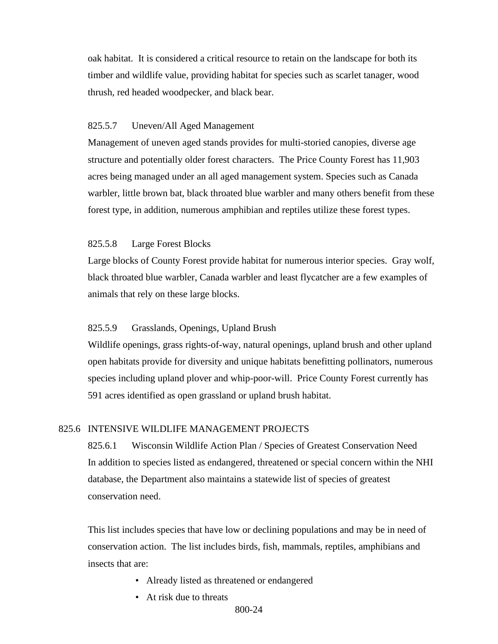oak habitat. It is considered a critical resource to retain on the landscape for both its timber and wildlife value, providing habitat for species such as scarlet tanager, wood thrush, red headed woodpecker, and black bear.

### <span id="page-23-0"></span>825.5.7 Uneven/All Aged Management

Management of uneven aged stands provides for multi-storied canopies, diverse age structure and potentially older forest characters. The Price County Forest has 11,903 acres being managed under an all aged management system. Species such as Canada warbler, little brown bat, black throated blue warbler and many others benefit from these forest type, in addition, numerous amphibian and reptiles utilize these forest types.

#### <span id="page-23-1"></span>825.5.8 Large Forest Blocks

Large blocks of County Forest provide habitat for numerous interior species. Gray wolf, black throated blue warbler, Canada warbler and least flycatcher are a few examples of animals that rely on these large blocks.

#### <span id="page-23-2"></span>825.5.9 Grasslands, Openings, Upland Brush

Wildlife openings, grass rights-of-way, natural openings, upland brush and other upland open habitats provide for diversity and unique habitats benefitting pollinators, numerous species including upland plover and whip-poor-will. Price County Forest currently has 591 acres identified as open grassland or upland brush habitat.

#### <span id="page-23-4"></span><span id="page-23-3"></span>825.6 INTENSIVE WILDLIFE MANAGEMENT PROJECTS

825.6.1 Wisconsin Wildlife Action Plan / Species of Greatest Conservation Need In addition to species listed as endangered, threatened or special concern within the NHI database, the Department also maintains a statewide list of species of greatest conservation need.

This list includes species that have low or declining populations and may be in need of conservation action. The list includes birds, fish, mammals, reptiles, amphibians and insects that are:

- Already listed as threatened or endangered
- At risk due to threats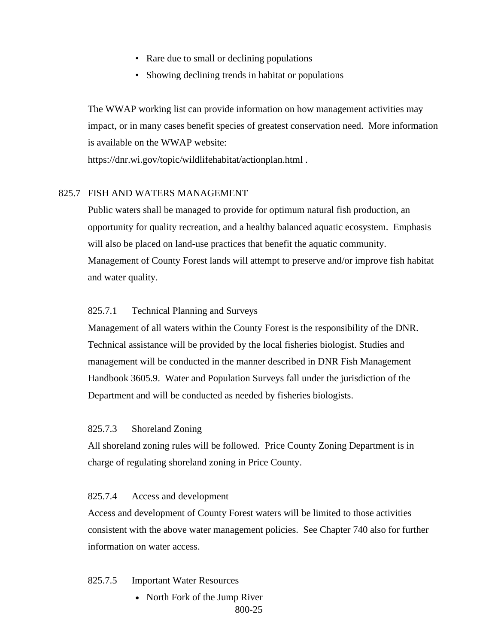- Rare due to small or declining populations
- Showing declining trends in habitat or populations

The WWAP working list can provide information on how management activities may impact, or in many cases benefit species of greatest conservation need. More information is available on the WWAP website:

https://dnr.wi.gov/topic/wildlifehabitat/actionplan.html .

#### <span id="page-24-0"></span>825.7 FISH AND WATERS MANAGEMENT

Public waters shall be managed to provide for optimum natural fish production, an opportunity for quality recreation, and a healthy balanced aquatic ecosystem. Emphasis will also be placed on land-use practices that benefit the aquatic community. Management of County Forest lands will attempt to preserve and/or improve fish habitat and water quality.

### <span id="page-24-1"></span>825.7.1 Technical Planning and Surveys

Management of all waters within the County Forest is the responsibility of the DNR. Technical assistance will be provided by the local fisheries biologist. Studies and management will be conducted in the manner described in DNR Fish Management Handbook 3605.9. Water and Population Surveys fall under the jurisdiction of the Department and will be conducted as needed by fisheries biologists.

#### <span id="page-24-2"></span>825.7.3 Shoreland Zoning

All shoreland zoning rules will be followed. Price County Zoning Department is in charge of regulating shoreland zoning in Price County.

#### <span id="page-24-3"></span>825.7.4 Access and development

Access and development of County Forest waters will be limited to those activities consistent with the above water management policies. See Chapter 740 also for further information on water access.

#### <span id="page-24-4"></span>825.7.5 Important Water Resources

800-25 • North Fork of the Jump River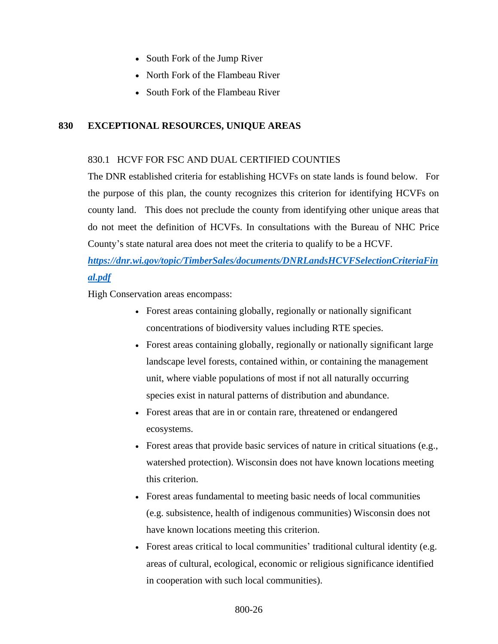- South Fork of the Jump River
- North Fork of the Flambeau River
- South Fork of the Flambeau River

## <span id="page-25-0"></span>**830 EXCEPTIONAL RESOURCES, UNIQUE AREAS**

### <span id="page-25-1"></span>830.1 HCVF FOR FSC AND DUAL CERTIFIED COUNTIES

The DNR established criteria for establishing HCVFs on state lands is found below. For the purpose of this plan, the county recognizes this criterion for identifying HCVFs on county land. This does not preclude the county from identifying other unique areas that do not meet the definition of HCVFs. In consultations with the Bureau of NHC Price County's state natural area does not meet the criteria to qualify to be a HCVF.

# *[https://dnr.wi.gov/topic/TimberSales/documents/DNRLandsHCVFSelectionCriteriaFin](https://dnr.wi.gov/topic/TimberSales/documents/DNRLandsHCVFSelectionCriteriaFinal.pdf) [al.pdf](https://dnr.wi.gov/topic/TimberSales/documents/DNRLandsHCVFSelectionCriteriaFinal.pdf)*

High Conservation areas encompass:

- Forest areas containing globally, regionally or nationally significant concentrations of biodiversity values including RTE species.
- Forest areas containing globally, regionally or nationally significant large landscape level forests, contained within, or containing the management unit, where viable populations of most if not all naturally occurring species exist in natural patterns of distribution and abundance.
- Forest areas that are in or contain rare, threatened or endangered ecosystems.
- Forest areas that provide basic services of nature in critical situations (e.g., watershed protection). Wisconsin does not have known locations meeting this criterion.
- Forest areas fundamental to meeting basic needs of local communities (e.g. subsistence, health of indigenous communities) Wisconsin does not have known locations meeting this criterion.
- Forest areas critical to local communities' traditional cultural identity (e.g. areas of cultural, ecological, economic or religious significance identified in cooperation with such local communities).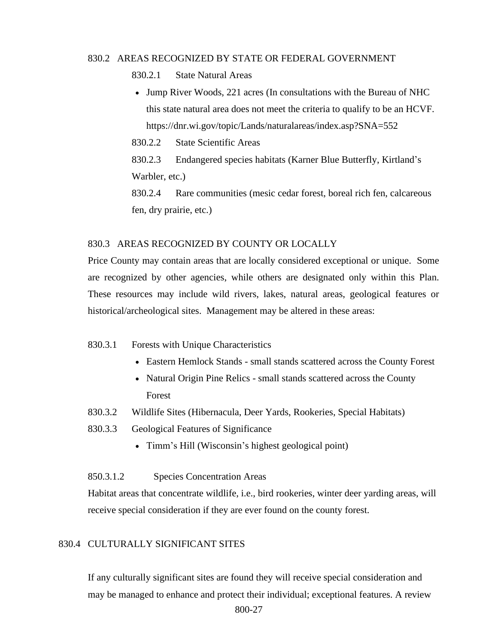### <span id="page-26-1"></span><span id="page-26-0"></span>830.2 AREAS RECOGNIZED BY STATE OR FEDERAL GOVERNMENT

830.2.1 State Natural Areas

• Jump River Woods, 221 acres (In consultations with the Bureau of NHC this state natural area does not meet the criteria to qualify to be an HCVF. https://dnr.wi.gov/topic/Lands/naturalareas/index.asp?SNA=552

<span id="page-26-2"></span>830.2.2 State Scientific Areas

<span id="page-26-3"></span>830.2.3 Endangered species habitats (Karner Blue Butterfly, Kirtland's Warbler, etc.)

830.2.4 Rare communities (mesic cedar forest, boreal rich fen, calcareous fen, dry prairie, etc.)

### <span id="page-26-5"></span><span id="page-26-4"></span>830.3 AREAS RECOGNIZED BY COUNTY OR LOCALLY

Price County may contain areas that are locally considered exceptional or unique. Some are recognized by other agencies, while others are designated only within this Plan. These resources may include wild rivers, lakes, natural areas, geological features or historical/archeological sites. Management may be altered in these areas:

- <span id="page-26-6"></span>830.3.1 Forests with Unique Characteristics
	- Eastern Hemlock Stands small stands scattered across the County Forest
	- Natural Origin Pine Relics small stands scattered across the County Forest
- <span id="page-26-7"></span>830.3.2 Wildlife Sites (Hibernacula, Deer Yards, Rookeries, Special Habitats)
- <span id="page-26-8"></span>830.3.3 Geological Features of Significance
	- Timm's Hill (Wisconsin's highest geological point)

#### 850.3.1.2 Species Concentration Areas

Habitat areas that concentrate wildlife, i.e., bird rookeries, winter deer yarding areas, will receive special consideration if they are ever found on the county forest.

### <span id="page-26-9"></span>830.4 CULTURALLY SIGNIFICANT SITES

If any culturally significant sites are found they will receive special consideration and may be managed to enhance and protect their individual; exceptional features. A review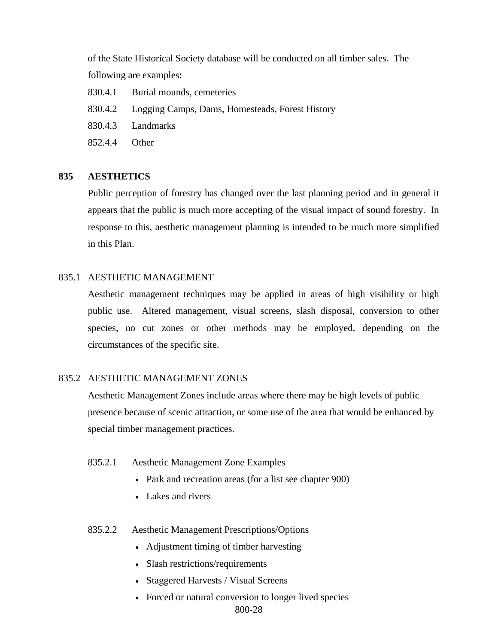of the State Historical Society database will be conducted on all timber sales. The following are examples:

- 830.4.1 Burial mounds, cemeteries
- 830.4.2 Logging Camps, Dams, Homesteads, Forest History
- 830.4.3 Landmarks
- 852.4.4 Other

#### <span id="page-27-0"></span>**835 AESTHETICS**

Public perception of forestry has changed over the last planning period and in general it appears that the public is much more accepting of the visual impact of sound forestry. In response to this, aesthetic management planning is intended to be much more simplified in this Plan.

#### <span id="page-27-1"></span>835.1 AESTHETIC MANAGEMENT

Aesthetic management techniques may be applied in areas of high visibility or high public use. Altered management, visual screens, slash disposal, conversion to other species, no cut zones or other methods may be employed, depending on the circumstances of the specific site.

#### <span id="page-27-2"></span>835.2 AESTHETIC MANAGEMENT ZONES

 Aesthetic Management Zones include areas where there may be high levels of public presence because of scenic attraction, or some use of the area that would be enhanced by special timber management practices.

### <span id="page-27-3"></span>835.2.1 Aesthetic Management Zone Examples

- Park and recreation areas (for a list see chapter 900)
- Lakes and rivers
- <span id="page-27-4"></span>835.2.2 Aesthetic Management Prescriptions/Options
	- Adjustment timing of timber harvesting
	- Slash restrictions/requirements
	- Staggered Harvests / Visual Screens
	- Forced or natural conversion to longer lived species

800-28